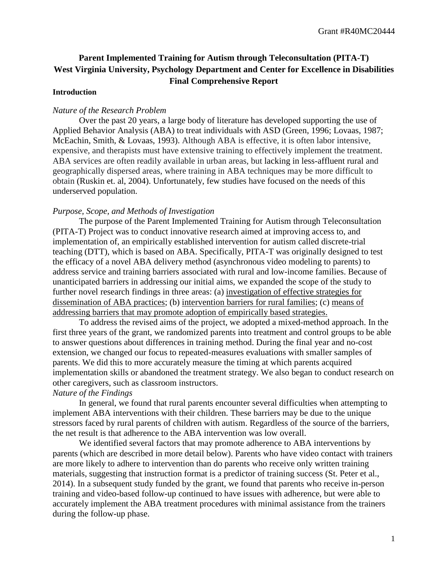# **Parent Implemented Training for Autism through Teleconsultation (PITA-T) West Virginia University, Psychology Department and Center for Excellence in Disabilities Final Comprehensive Report**

### **Introduction**

### *Nature of the Research Problem*

Over the past 20 years, a large body of literature has developed supporting the use of Applied Behavior Analysis (ABA) to treat individuals with ASD (Green, 1996; Lovaas, 1987; McEachin, Smith, & Lovaas, 1993). Although ABA is effective, it is often labor intensive, expensive, and therapists must have extensive training to effectively implement the treatment. ABA services are often readily available in urban areas, but lacking in less-affluent rural and geographically dispersed areas, where training in ABA techniques may be more difficult to obtain (Ruskin et. al, 2004). Unfortunately, few studies have focused on the needs of this underserved population.

# *Purpose, Scope, and Methods of Investigation*

The purpose of the Parent Implemented Training for Autism through Teleconsultation (PITA-T) Project was to conduct innovative research aimed at improving access to, and implementation of, an empirically established intervention for autism called discrete-trial teaching (DTT), which is based on ABA. Specifically, PITA-T was originally designed to test the efficacy of a novel ABA delivery method (asynchronous video modeling to parents) to address service and training barriers associated with rural and low-income families. Because of unanticipated barriers in addressing our initial aims, we expanded the scope of the study to further novel research findings in three areas: (a) investigation of effective strategies for dissemination of ABA practices; (b) intervention barriers for rural families; (c) means of addressing barriers that may promote adoption of empirically based strategies.

To address the revised aims of the project, we adopted a mixed-method approach. In the first three years of the grant, we randomized parents into treatment and control groups to be able to answer questions about differences in training method. During the final year and no-cost extension, we changed our focus to repeated-measures evaluations with smaller samples of parents. We did this to more accurately measure the timing at which parents acquired implementation skills or abandoned the treatment strategy. We also began to conduct research on other caregivers, such as classroom instructors.

# *Nature of the Findings*

In general, we found that rural parents encounter several difficulties when attempting to implement ABA interventions with their children. These barriers may be due to the unique stressors faced by rural parents of children with autism. Regardless of the source of the barriers, the net result is that adherence to the ABA intervention was low overall.

We identified several factors that may promote adherence to ABA interventions by parents (which are described in more detail below). Parents who have video contact with trainers are more likely to adhere to intervention than do parents who receive only written training materials, suggesting that instruction format is a predictor of training success (St. Peter et al., 2014). In a subsequent study funded by the grant, we found that parents who receive in-person training and video-based follow-up continued to have issues with adherence, but were able to accurately implement the ABA treatment procedures with minimal assistance from the trainers during the follow-up phase.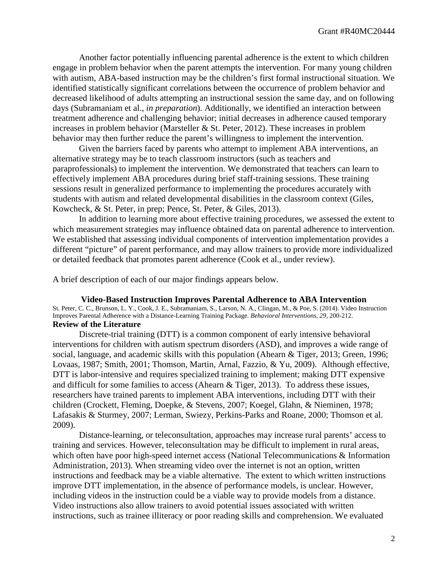Another factor potentially influencing parental adherence is the extent to which children engage in problem behavior when the parent attempts the intervention. For many young children with autism, ABA-based instruction may be the children's first formal instructional situation. We identified statistically significant correlations between the occurrence of problem behavior and decreased likelihood of adults attempting an instructional session the same day, and on following days (Subramaniam et al., *in preparation*). Additionally, we identified an interaction between treatment adherence and challenging behavior; initial decreases in adherence caused temporary increases in problem behavior (Marsteller & St. Peter, 2012). These increases in problem behavior may then further reduce the parent's willingness to implement the intervention.

Given the barriers faced by parents who attempt to implement ABA interventions, an alternative strategy may be to teach classroom instructors (such as teachers and paraprofessionals) to implement the intervention. We demonstrated that teachers can learn to effectively implement ABA procedures during brief staff-training sessions. These training sessions result in generalized performance to implementing the procedures accurately with students with autism and related developmental disabilities in the classroom context (Giles, Kowcheck, & St. Peter, in prep; Pence, St. Peter, & Giles, 2013).

In addition to learning more about effective training procedures, we assessed the extent to which measurement strategies may influence obtained data on parental adherence to intervention. We established that assessing individual components of intervention implementation provides a different "picture" of parent performance, and may allow trainers to provide more individualized or detailed feedback that promotes parent adherence (Cook et al., under review).

A brief description of each of our major findings appears below.

**Video-Based Instruction Improves Parental Adherence to ABA Intervention** St. Peter, C. C., Brunson, L. Y., Cook, J. E., Subramaniam, S., Larson, N. A., Clingan, M., & Poe, S. (2014). Video Instruction Improves Parental Adherence with a Distance-Learning Training Package. *Behavioral Interventions, 29,* 200-212. **Review of the Literature**

Discrete-trial training (DTT) is a common component of early intensive behavioral interventions for children with autism spectrum disorders (ASD), and improves a wide range of social, language, and academic skills with this population (Ahearn & Tiger, 2013; Green, 1996; Lovaas, 1987; Smith, 2001; Thomson, Martin, Arnal, Fazzio, & Yu, 2009). Although effective, DTT is labor-intensive and requires specialized training to implement; making DTT expensive and difficult for some families to access (Ahearn & Tiger, 2013). To address these issues, researchers have trained parents to implement ABA interventions, including DTT with their children (Crockett, Fleming, Doepke, & Stevens, 2007; Koegel, Glahn, & Nieminen, 1978; Lafasakis & Sturmey, 2007; Lerman, Swiezy, Perkins-Parks and Roane, 2000; Thomson et al. 2009).

Distance-learning, or teleconsultation, approaches may increase rural parents' access to training and services. However, teleconsultation may be difficult to implement in rural areas, which often have poor high-speed internet access (National Telecommunications & Information Administration, 2013). When streaming video over the internet is not an option, written instructions and feedback may be a viable alternative. The extent to which written instructions improve DTT implementation, in the absence of performance models, is unclear. However, including videos in the instruction could be a viable way to provide models from a distance. Video instructions also allow trainers to avoid potential issues associated with written instructions, such as trainee illiteracy or poor reading skills and comprehension. We evaluated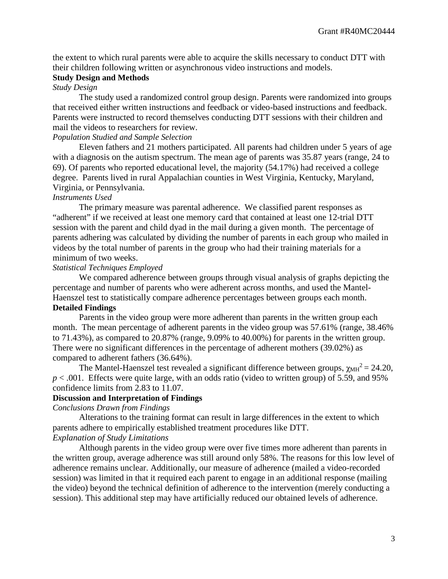the extent to which rural parents were able to acquire the skills necessary to conduct DTT with their children following written or asynchronous video instructions and models.

### **Study Design and Methods**

# *Study Design*

The study used a randomized control group design. Parents were randomized into groups that received either written instructions and feedback or video-based instructions and feedback. Parents were instructed to record themselves conducting DTT sessions with their children and mail the videos to researchers for review.

#### *Population Studied and Sample Selection*

Eleven fathers and 21 mothers participated. All parents had children under 5 years of age with a diagnosis on the autism spectrum. The mean age of parents was 35.87 years (range, 24 to 69). Of parents who reported educational level, the majority (54.17%) had received a college degree. Parents lived in rural Appalachian counties in West Virginia, Kentucky, Maryland, Virginia, or Pennsylvania.

# *Instruments Used*

The primary measure was parental adherence. We classified parent responses as "adherent" if we received at least one memory card that contained at least one 12-trial DTT session with the parent and child dyad in the mail during a given month. The percentage of parents adhering was calculated by dividing the number of parents in each group who mailed in videos by the total number of parents in the group who had their training materials for a minimum of two weeks.

### *Statistical Techniques Employed*

We compared adherence between groups through visual analysis of graphs depicting the percentage and number of parents who were adherent across months, and used the Mantel-Haenszel test to statistically compare adherence percentages between groups each month.

# **Detailed Findings**

Parents in the video group were more adherent than parents in the written group each month. The mean percentage of adherent parents in the video group was 57.61% (range, 38.46% to 71.43%), as compared to 20.87% (range, 9.09% to 40.00%) for parents in the written group. There were no significant differences in the percentage of adherent mothers (39.02%) as compared to adherent fathers (36.64%).

The Mantel-Haenszel test revealed a significant difference between groups,  $\chi_{MH}^2 = 24.20$ ,  $p < .001$ . Effects were quite large, with an odds ratio (video to written group) of 5.59, and 95% confidence limits from 2.83 to 11.07.

# **Discussion and Interpretation of Findings**

*Conclusions Drawn from Findings*

Alterations to the training format can result in large differences in the extent to which parents adhere to empirically established treatment procedures like DTT. *Explanation of Study Limitations*

Although parents in the video group were over five times more adherent than parents in the written group, average adherence was still around only 58%. The reasons for this low level of adherence remains unclear. Additionally, our measure of adherence (mailed a video-recorded session) was limited in that it required each parent to engage in an additional response (mailing the video) beyond the technical definition of adherence to the intervention (merely conducting a session). This additional step may have artificially reduced our obtained levels of adherence.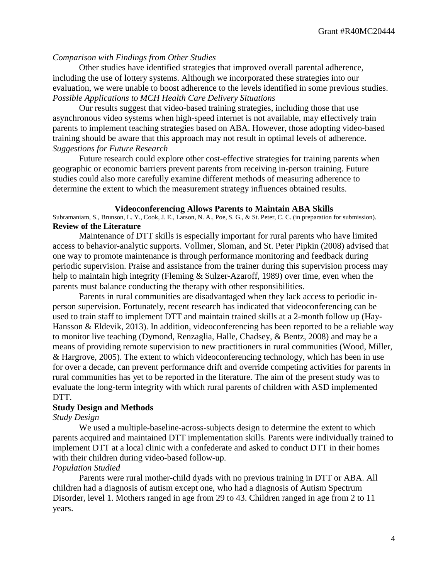### *Comparison with Findings from Other Studies*

Other studies have identified strategies that improved overall parental adherence, including the use of lottery systems. Although we incorporated these strategies into our evaluation, we were unable to boost adherence to the levels identified in some previous studies. *Possible Applications to MCH Health Care Delivery Situations*

Our results suggest that video-based training strategies, including those that use asynchronous video systems when high-speed internet is not available, may effectively train parents to implement teaching strategies based on ABA. However, those adopting video-based training should be aware that this approach may not result in optimal levels of adherence. *Suggestions for Future Research*

Future research could explore other cost-effective strategies for training parents when geographic or economic barriers prevent parents from receiving in-person training. Future studies could also more carefully examine different methods of measuring adherence to determine the extent to which the measurement strategy influences obtained results.

#### **Videoconferencing Allows Parents to Maintain ABA Skills**

Subramaniam, S., Brunson, L. Y., Cook, J. E., Larson, N. A., Poe, S. G., & St. Peter, C. C. (in preparation for submission). **Review of the Literature**

Maintenance of DTT skills is especially important for rural parents who have limited access to behavior-analytic supports. Vollmer, Sloman, and St. Peter Pipkin (2008) advised that one way to promote maintenance is through performance monitoring and feedback during periodic supervision. Praise and assistance from the trainer during this supervision process may help to maintain high integrity (Fleming & Sulzer-Azaroff, 1989) over time, even when the parents must balance conducting the therapy with other responsibilities.

Parents in rural communities are disadvantaged when they lack access to periodic inperson supervision. Fortunately, recent research has indicated that videoconferencing can be used to train staff to implement DTT and maintain trained skills at a 2-month follow up (Hay-Hansson & Eldevik, 2013). In addition, videoconferencing has been reported to be a reliable way to monitor live teaching (Dymond, Renzaglia, Halle, Chadsey, & Bentz, 2008) and may be a means of providing remote supervision to new practitioners in rural communities (Wood, Miller, & Hargrove, 2005). The extent to which videoconferencing technology, which has been in use for over a decade, can prevent performance drift and override competing activities for parents in rural communities has yet to be reported in the literature. The aim of the present study was to evaluate the long-term integrity with which rural parents of children with ASD implemented DTT.

# **Study Design and Methods**

#### *Study Design*

We used a multiple-baseline-across-subjects design to determine the extent to which parents acquired and maintained DTT implementation skills. Parents were individually trained to implement DTT at a local clinic with a confederate and asked to conduct DTT in their homes with their children during video-based follow-up.

#### *Population Studied*

Parents were rural mother-child dyads with no previous training in DTT or ABA. All children had a diagnosis of autism except one, who had a diagnosis of Autism Spectrum Disorder, level 1. Mothers ranged in age from 29 to 43. Children ranged in age from 2 to 11 years.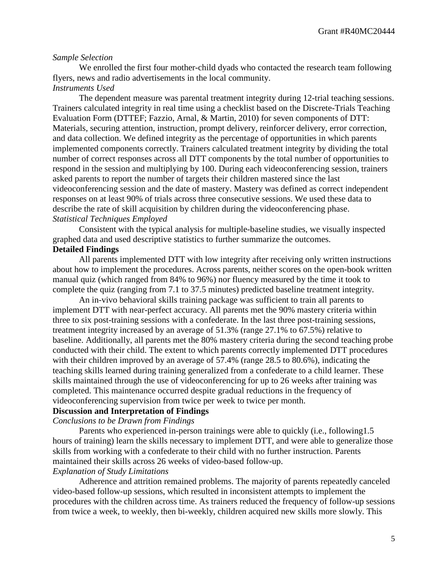#### *Sample Selection*

We enrolled the first four mother-child dyads who contacted the research team following flyers, news and radio advertisements in the local community. *Instruments Used*

The dependent measure was parental treatment integrity during 12-trial teaching sessions. Trainers calculated integrity in real time using a checklist based on the Discrete-Trials Teaching Evaluation Form (DTTEF; Fazzio, Arnal, & Martin, 2010) for seven components of DTT: Materials, securing attention, instruction, prompt delivery, reinforcer delivery, error correction, and data collection. We defined integrity as the percentage of opportunities in which parents implemented components correctly. Trainers calculated treatment integrity by dividing the total number of correct responses across all DTT components by the total number of opportunities to respond in the session and multiplying by 100. During each videoconferencing session, trainers asked parents to report the number of targets their children mastered since the last videoconferencing session and the date of mastery. Mastery was defined as correct independent responses on at least 90% of trials across three consecutive sessions. We used these data to describe the rate of skill acquisition by children during the videoconferencing phase. *Statistical Techniques Employed*

Consistent with the typical analysis for multiple-baseline studies, we visually inspected graphed data and used descriptive statistics to further summarize the outcomes. **Detailed Findings**

# All parents implemented DTT with low integrity after receiving only written instructions about how to implement the procedures. Across parents, neither scores on the open-book written

manual quiz (which ranged from 84% to 96%) nor fluency measured by the time it took to complete the quiz (ranging from 7.1 to 37.5 minutes) predicted baseline treatment integrity.

An in-vivo behavioral skills training package was sufficient to train all parents to implement DTT with near-perfect accuracy. All parents met the 90% mastery criteria within three to six post-training sessions with a confederate. In the last three post-training sessions, treatment integrity increased by an average of 51.3% (range 27.1% to 67.5%) relative to baseline. Additionally, all parents met the 80% mastery criteria during the second teaching probe conducted with their child. The extent to which parents correctly implemented DTT procedures with their children improved by an average of 57.4% (range 28.5 to 80.6%), indicating the teaching skills learned during training generalized from a confederate to a child learner. These skills maintained through the use of videoconferencing for up to 26 weeks after training was completed. This maintenance occurred despite gradual reductions in the frequency of videoconferencing supervision from twice per week to twice per month.

# **Discussion and Interpretation of Findings**

*Conclusions to be Drawn from Findings*

Parents who experienced in-person trainings were able to quickly (i.e., following1.5 hours of training) learn the skills necessary to implement DTT, and were able to generalize those skills from working with a confederate to their child with no further instruction. Parents maintained their skills across 26 weeks of video-based follow-up.

# *Explanation of Study Limitations*

Adherence and attrition remained problems. The majority of parents repeatedly canceled video-based follow-up sessions, which resulted in inconsistent attempts to implement the procedures with the children across time. As trainers reduced the frequency of follow-up sessions from twice a week, to weekly, then bi-weekly, children acquired new skills more slowly. This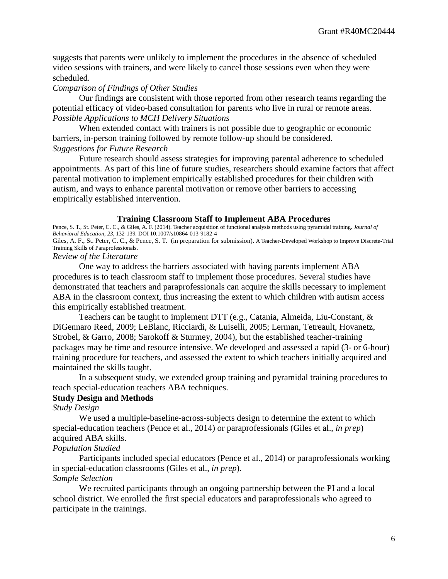suggests that parents were unlikely to implement the procedures in the absence of scheduled video sessions with trainers, and were likely to cancel those sessions even when they were scheduled.

### *Comparison of Findings of Other Studies*

Our findings are consistent with those reported from other research teams regarding the potential efficacy of video-based consultation for parents who live in rural or remote areas. *Possible Applications to MCH Delivery Situations*

When extended contact with trainers is not possible due to geographic or economic barriers, in-person training followed by remote follow-up should be considered. *Suggestions for Future Research*

Future research should assess strategies for improving parental adherence to scheduled appointments. As part of this line of future studies, researchers should examine factors that affect parental motivation to implement empirically established procedures for their children with autism, and ways to enhance parental motivation or remove other barriers to accessing empirically established intervention.

#### **Training Classroom Staff to Implement ABA Procedures**

Pence, S. T., St. Peter, C. C., & Giles, A. F. (2014). Teacher acquisition of functional analysis methods using pyramidal training. *Journal of Behavioral Education, 23,* 132-139*.* DOI 10.1007/s10864-013-9182-4 Giles, A. F., St. Peter, C. C., & Pence, S. T. (in preparation for submission). A Teacher-Developed Workshop to Improve Discrete-Trial Training Skills of Paraprofessionals.

#### *Review of the Literature*

One way to address the barriers associated with having parents implement ABA procedures is to teach classroom staff to implement those procedures. Several studies have demonstrated that teachers and paraprofessionals can acquire the skills necessary to implement ABA in the classroom context, thus increasing the extent to which children with autism access this empirically established treatment.

Teachers can be taught to implement DTT (e.g., Catania, Almeida, Liu-Constant, & DiGennaro Reed, 2009; LeBlanc, Ricciardi, & Luiselli, 2005; Lerman, Tetreault, Hovanetz, Strobel, & Garro, 2008; Sarokoff & Sturmey, 2004), but the established teacher-training packages may be time and resource intensive. We developed and assessed a rapid (3- or 6-hour) training procedure for teachers, and assessed the extent to which teachers initially acquired and maintained the skills taught.

In a subsequent study, we extended group training and pyramidal training procedures to teach special-education teachers ABA techniques.

# **Study Design and Methods**

*Study Design*

We used a multiple-baseline-across-subjects design to determine the extent to which special-education teachers (Pence et al., 2014) or paraprofessionals (Giles et al., *in prep*) acquired ABA skills.

#### *Population Studied*

Participants included special educators (Pence et al., 2014) or paraprofessionals working in special-education classrooms (Giles et al., *in prep*).

# *Sample Selection*

We recruited participants through an ongoing partnership between the PI and a local school district. We enrolled the first special educators and paraprofessionals who agreed to participate in the trainings.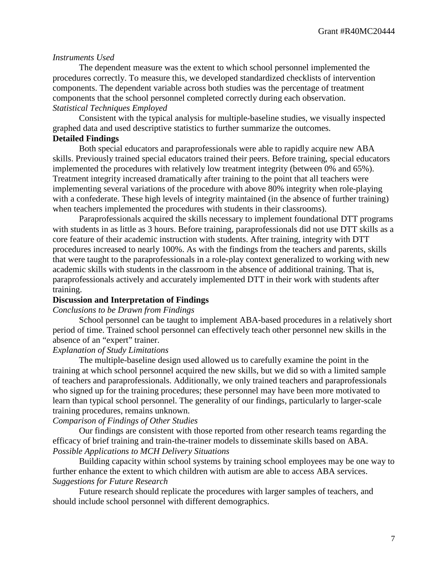#### *Instruments Used*

The dependent measure was the extent to which school personnel implemented the procedures correctly. To measure this, we developed standardized checklists of intervention components. The dependent variable across both studies was the percentage of treatment components that the school personnel completed correctly during each observation. *Statistical Techniques Employed*

Consistent with the typical analysis for multiple-baseline studies, we visually inspected graphed data and used descriptive statistics to further summarize the outcomes.

# **Detailed Findings**

Both special educators and paraprofessionals were able to rapidly acquire new ABA skills. Previously trained special educators trained their peers. Before training, special educators implemented the procedures with relatively low treatment integrity (between 0% and 65%). Treatment integrity increased dramatically after training to the point that all teachers were implementing several variations of the procedure with above 80% integrity when role-playing with a confederate. These high levels of integrity maintained (in the absence of further training) when teachers implemented the procedures with students in their classrooms).

Paraprofessionals acquired the skills necessary to implement foundational DTT programs with students in as little as 3 hours. Before training, paraprofessionals did not use DTT skills as a core feature of their academic instruction with students. After training, integrity with DTT procedures increased to nearly 100%. As with the findings from the teachers and parents, skills that were taught to the paraprofessionals in a role-play context generalized to working with new academic skills with students in the classroom in the absence of additional training. That is, paraprofessionals actively and accurately implemented DTT in their work with students after training.

#### **Discussion and Interpretation of Findings**

# *Conclusions to be Drawn from Findings*

School personnel can be taught to implement ABA-based procedures in a relatively short period of time. Trained school personnel can effectively teach other personnel new skills in the absence of an "expert" trainer.

# *Explanation of Study Limitations*

The multiple-baseline design used allowed us to carefully examine the point in the training at which school personnel acquired the new skills, but we did so with a limited sample of teachers and paraprofessionals. Additionally, we only trained teachers and paraprofessionals who signed up for the training procedures; these personnel may have been more motivated to learn than typical school personnel. The generality of our findings, particularly to larger-scale training procedures, remains unknown.

#### *Comparison of Findings of Other Studies*

Our findings are consistent with those reported from other research teams regarding the efficacy of brief training and train-the-trainer models to disseminate skills based on ABA. *Possible Applications to MCH Delivery Situations*

Building capacity within school systems by training school employees may be one way to further enhance the extent to which children with autism are able to access ABA services. *Suggestions for Future Research*

Future research should replicate the procedures with larger samples of teachers, and should include school personnel with different demographics.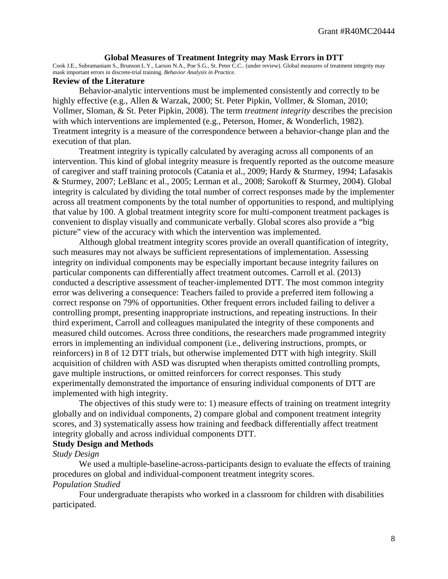#### **Global Measures of Treatment Integrity may Mask Errors in DTT**

Cook J.E., Subramaniam S., Brunson L.Y., Larson N.A., Poe S.G., St. Peter C.C.. (under review). Global measures of treatment integrity may mask important errors in discrete-trial training. *Behavior Analysis in Practice.*

#### **Review of the Literature**

Behavior-analytic interventions must be implemented consistently and correctly to be highly effective (e.g., Allen & Warzak, 2000; St. Peter Pipkin, Vollmer, & Sloman, 2010; Vollmer, Sloman, & St. Peter Pipkin, 2008). The term *treatment integrity* describes the precision with which interventions are implemented (e.g., Peterson, Homer, & Wonderlich, 1982). Treatment integrity is a measure of the correspondence between a behavior-change plan and the execution of that plan.

Treatment integrity is typically calculated by averaging across all components of an intervention. This kind of global integrity measure is frequently reported as the outcome measure of caregiver and staff training protocols (Catania et al., 2009; Hardy & Sturmey, 1994; Lafasakis & Sturmey, 2007; LeBlanc et al., 2005; Lerman et al., 2008; Sarokoff & Sturmey, 2004). Global integrity is calculated by dividing the total number of correct responses made by the implementer across all treatment components by the total number of opportunities to respond, and multiplying that value by 100. A global treatment integrity score for multi-component treatment packages is convenient to display visually and communicate verbally. Global scores also provide a "big picture" view of the accuracy with which the intervention was implemented.

Although global treatment integrity scores provide an overall quantification of integrity, such measures may not always be sufficient representations of implementation. Assessing integrity on individual components may be especially important because integrity failures on particular components can differentially affect treatment outcomes. Carroll et al. (2013) conducted a descriptive assessment of teacher-implemented DTT. The most common integrity error was delivering a consequence: Teachers failed to provide a preferred item following a correct response on 79% of opportunities. Other frequent errors included failing to deliver a controlling prompt, presenting inappropriate instructions, and repeating instructions. In their third experiment, Carroll and colleagues manipulated the integrity of these components and measured child outcomes. Across three conditions, the researchers made programmed integrity errors in implementing an individual component (i.e., delivering instructions, prompts, or reinforcers) in 8 of 12 DTT trials, but otherwise implemented DTT with high integrity. Skill acquisition of children with ASD was disrupted when therapists omitted controlling prompts, gave multiple instructions, or omitted reinforcers for correct responses. This study experimentally demonstrated the importance of ensuring individual components of DTT are implemented with high integrity.

The objectives of this study were to: 1) measure effects of training on treatment integrity globally and on individual components, 2) compare global and component treatment integrity scores, and 3) systematically assess how training and feedback differentially affect treatment integrity globally and across individual components DTT.

### **Study Design and Methods**

#### *Study Design*

We used a multiple-baseline-across-participants design to evaluate the effects of training procedures on global and individual-component treatment integrity scores. *Population Studied*

Four undergraduate therapists who worked in a classroom for children with disabilities participated.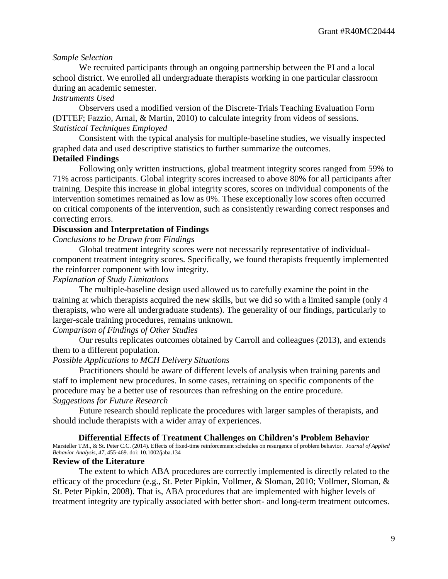# *Sample Selection*

We recruited participants through an ongoing partnership between the PI and a local school district. We enrolled all undergraduate therapists working in one particular classroom during an academic semester.

#### *Instruments Used*

Observers used a modified version of the Discrete-Trials Teaching Evaluation Form (DTTEF; Fazzio, Arnal, & Martin, 2010) to calculate integrity from videos of sessions. *Statistical Techniques Employed*

Consistent with the typical analysis for multiple-baseline studies, we visually inspected graphed data and used descriptive statistics to further summarize the outcomes.

# **Detailed Findings**

Following only written instructions, global treatment integrity scores ranged from 59% to 71% across participants. Global integrity scores increased to above 80% for all participants after training. Despite this increase in global integrity scores, scores on individual components of the intervention sometimes remained as low as 0%. These exceptionally low scores often occurred on critical components of the intervention, such as consistently rewarding correct responses and correcting errors.

# **Discussion and Interpretation of Findings**

*Conclusions to be Drawn from Findings*

Global treatment integrity scores were not necessarily representative of individualcomponent treatment integrity scores. Specifically, we found therapists frequently implemented the reinforcer component with low integrity.

# *Explanation of Study Limitations*

The multiple-baseline design used allowed us to carefully examine the point in the training at which therapists acquired the new skills, but we did so with a limited sample (only 4 therapists, who were all undergraduate students). The generality of our findings, particularly to larger-scale training procedures, remains unknown.

# *Comparison of Findings of Other Studies*

Our results replicates outcomes obtained by Carroll and colleagues (2013), and extends them to a different population.

# *Possible Applications to MCH Delivery Situations*

Practitioners should be aware of different levels of analysis when training parents and staff to implement new procedures. In some cases, retraining on specific components of the procedure may be a better use of resources than refreshing on the entire procedure. *Suggestions for Future Research*

Future research should replicate the procedures with larger samples of therapists, and should include therapists with a wider array of experiences.

#### **Differential Effects of Treatment Challenges on Children's Problem Behavior**

Marsteller T.M., & St. Peter C.C. (2014). Effects of fixed-time reinforcement schedules on resurgence of problem behavior. *Journal of Applied Behavior Analysis, 47,* 455-469. doi: 10.1002/jaba.134

#### **Review of the Literature**

The extent to which ABA procedures are correctly implemented is directly related to the efficacy of the procedure (e.g., St. Peter Pipkin, Vollmer, & Sloman, 2010; Vollmer, Sloman, & St. Peter Pipkin, 2008). That is, ABA procedures that are implemented with higher levels of treatment integrity are typically associated with better short- and long-term treatment outcomes.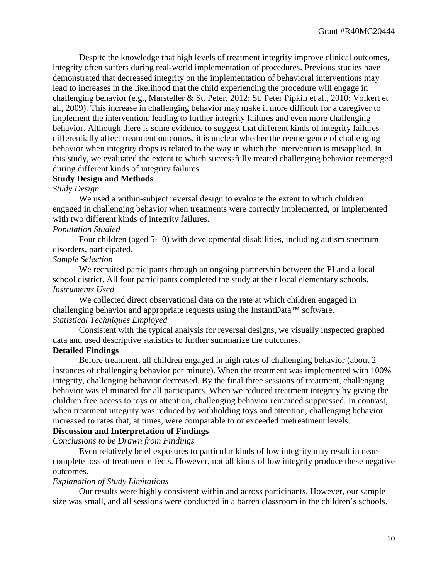Despite the knowledge that high levels of treatment integrity improve clinical outcomes, integrity often suffers during real-world implementation of procedures. Previous studies have demonstrated that decreased integrity on the implementation of behavioral interventions may lead to increases in the likelihood that the child experiencing the procedure will engage in challenging behavior (e.g., Marsteller & St. Peter, 2012; St. Peter Pipkin et al., 2010; Volkert et al., 2009). This increase in challenging behavior may make it more difficult for a caregiver to implement the intervention, leading to further integrity failures and even more challenging behavior. Although there is some evidence to suggest that different kinds of integrity failures differentially affect treatment outcomes, it is unclear whether the reemergence of challenging behavior when integrity drops is related to the way in which the intervention is misapplied. In this study, we evaluated the extent to which successfully treated challenging behavior reemerged during different kinds of integrity failures.

# **Study Design and Methods**

### *Study Design*

We used a within-subject reversal design to evaluate the extent to which children engaged in challenging behavior when treatments were correctly implemented, or implemented with two different kinds of integrity failures.

# *Population Studied*

Four children (aged 5-10) with developmental disabilities, including autism spectrum disorders, participated.

# *Sample Selection*

We recruited participants through an ongoing partnership between the PI and a local school district. All four participants completed the study at their local elementary schools. *Instruments Used*

We collected direct observational data on the rate at which children engaged in challenging behavior and appropriate requests using the InstantData™ software. *Statistical Techniques Employed*

Consistent with the typical analysis for reversal designs, we visually inspected graphed data and used descriptive statistics to further summarize the outcomes.

#### **Detailed Findings**

Before treatment, all children engaged in high rates of challenging behavior (about 2 instances of challenging behavior per minute). When the treatment was implemented with 100% integrity, challenging behavior decreased. By the final three sessions of treatment, challenging behavior was eliminated for all participants. When we reduced treatment integrity by giving the children free access to toys or attention, challenging behavior remained suppressed. In contrast, when treatment integrity was reduced by withholding toys and attention, challenging behavior increased to rates that, at times, were comparable to or exceeded pretreatment levels.

# **Discussion and Interpretation of Findings**

*Conclusions to be Drawn from Findings*

Even relatively brief exposures to particular kinds of low integrity may result in nearcomplete loss of treatment effects. However, not all kinds of low integrity produce these negative outcomes.

#### *Explanation of Study Limitations*

Our results were highly consistent within and across participants. However, our sample size was small, and all sessions were conducted in a barren classroom in the children's schools.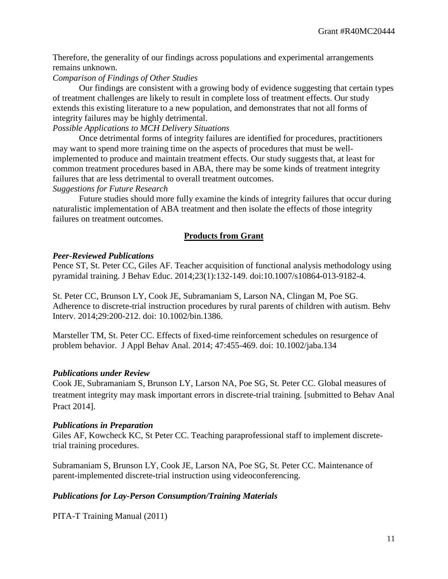Therefore, the generality of our findings across populations and experimental arrangements remains unknown.

# *Comparison of Findings of Other Studies*

Our findings are consistent with a growing body of evidence suggesting that certain types of treatment challenges are likely to result in complete loss of treatment effects. Our study extends this existing literature to a new population, and demonstrates that not all forms of integrity failures may be highly detrimental.

### *Possible Applications to MCH Delivery Situations*

Once detrimental forms of integrity failures are identified for procedures, practitioners may want to spend more training time on the aspects of procedures that must be wellimplemented to produce and maintain treatment effects. Our study suggests that, at least for common treatment procedures based in ABA, there may be some kinds of treatment integrity failures that are less detrimental to overall treatment outcomes.

# *Suggestions for Future Research*

Future studies should more fully examine the kinds of integrity failures that occur during naturalistic implementation of ABA treatment and then isolate the effects of those integrity failures on treatment outcomes.

# **Products from Grant**

# *Peer-Reviewed Publications*

Pence ST, St. Peter CC, Giles AF. Teacher acquisition of functional analysis methodology using pyramidal training. J Behav Educ. 2014;23(1):132-149. doi:10.1007/s10864-013-9182-4.

St. Peter CC, Brunson LY, Cook JE, Subramaniam S, Larson NA, Clingan M, Poe SG. Adherence to discrete-trial instruction procedures by rural parents of children with autism. Behv Interv. 2014;29:200-212. doi: 10.1002/bin.1386.

Marsteller TM, St. Peter CC. Effects of fixed-time reinforcement schedules on resurgence of problem behavior. J Appl Behav Anal. 2014; 47:455-469. doi: 10.1002/jaba.134

# *Publications under Review*

Cook JE, Subramaniam S, Brunson LY, Larson NA, Poe SG, St. Peter CC. Global measures of treatment integrity may mask important errors in discrete-trial training. [submitted to Behav Anal Pract 2014].

# *Publications in Preparation*

Giles AF, Kowcheck KC, St Peter CC. Teaching paraprofessional staff to implement discretetrial training procedures.

Subramaniam S, Brunson LY, Cook JE, Larson NA, Poe SG, St. Peter CC. Maintenance of parent-implemented discrete-trial instruction using videoconferencing.

# *Publications for Lay-Person Consumption/Training Materials*

PITA-T Training Manual (2011)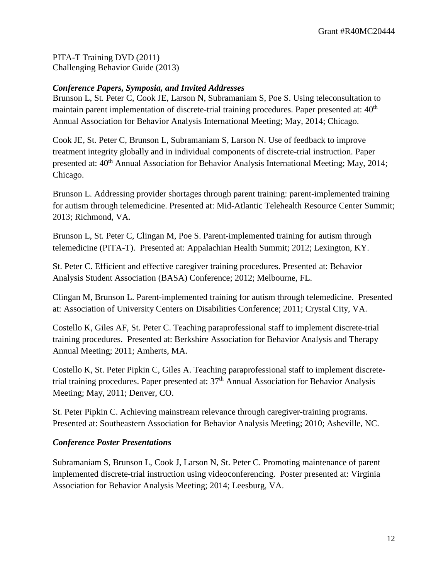PITA-T Training DVD (2011) Challenging Behavior Guide (2013)

# *Conference Papers, Symposia, and Invited Addresses*

Brunson L, St. Peter C, Cook JE, Larson N, Subramaniam S, Poe S. Using teleconsultation to maintain parent implementation of discrete-trial training procedures. Paper presented at: 40<sup>th</sup> Annual Association for Behavior Analysis International Meeting; May, 2014; Chicago.

Cook JE, St. Peter C, Brunson L, Subramaniam S, Larson N. Use of feedback to improve treatment integrity globally and in individual components of discrete-trial instruction. Paper presented at:  $40<sup>th</sup>$  Annual Association for Behavior Analysis International Meeting; May, 2014; Chicago.

Brunson L. Addressing provider shortages through parent training: parent-implemented training for autism through telemedicine. Presented at: Mid-Atlantic Telehealth Resource Center Summit; 2013; Richmond, VA.

Brunson L, St. Peter C, Clingan M, Poe S. Parent-implemented training for autism through telemedicine (PITA-T). Presented at: Appalachian Health Summit; 2012; Lexington, KY.

St. Peter C. Efficient and effective caregiver training procedures. Presented at: Behavior Analysis Student Association (BASA) Conference; 2012; Melbourne, FL.

Clingan M, Brunson L. Parent-implemented training for autism through telemedicine. Presented at: Association of University Centers on Disabilities Conference; 2011; Crystal City, VA.

Costello K, Giles AF, St. Peter C. Teaching paraprofessional staff to implement discrete-trial training procedures. Presented at: Berkshire Association for Behavior Analysis and Therapy Annual Meeting; 2011; Amherts, MA.

Costello K, St. Peter Pipkin C, Giles A. Teaching paraprofessional staff to implement discretetrial training procedures. Paper presented at: 37<sup>th</sup> Annual Association for Behavior Analysis Meeting; May, 2011; Denver, CO.

St. Peter Pipkin C. Achieving mainstream relevance through caregiver-training programs. Presented at: Southeastern Association for Behavior Analysis Meeting; 2010; Asheville, NC.

# *Conference Poster Presentations*

Subramaniam S, Brunson L, Cook J, Larson N, St. Peter C. Promoting maintenance of parent implemented discrete-trial instruction using videoconferencing. Poster presented at: Virginia Association for Behavior Analysis Meeting; 2014; Leesburg, VA.